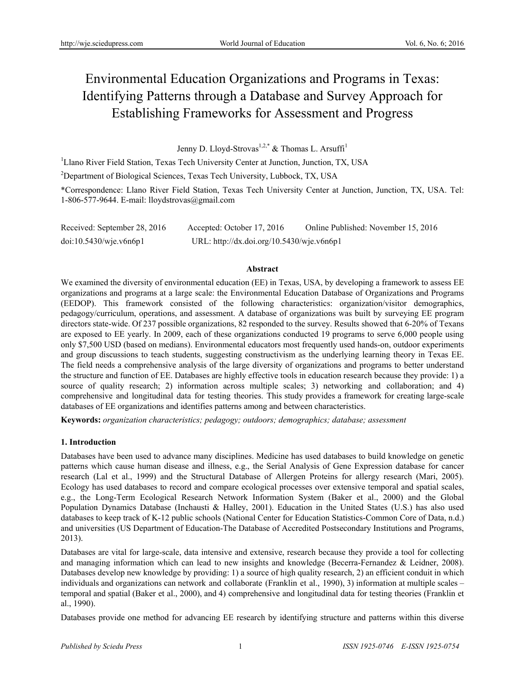# Environmental Education Organizations and Programs in Texas: Identifying Patterns through a Database and Survey Approach for Establishing Frameworks for Assessment and Progress

Jenny D. Lloyd-Strovas<sup>1,2,\*</sup> & Thomas L. Arsuffi<sup>1</sup>

<sup>1</sup>Llano River Field Station, Texas Tech University Center at Junction, Junction, TX, USA

<sup>2</sup>Department of Biological Sciences, Texas Tech University, Lubbock, TX, USA

\*Correspondence: Llano River Field Station, Texas Tech University Center at Junction, Junction, TX, USA. Tel: 1-806-577-9644. E-mail: lloydstrovas@gmail.com

| Received: September 28, 2016 | Accepted: October 17, 2016                | Online Published: November 15, 2016 |
|------------------------------|-------------------------------------------|-------------------------------------|
| doi:10.5430/wje.v6n6p1       | URL: http://dx.doi.org/10.5430/wje.v6n6p1 |                                     |

#### **Abstract**

We examined the diversity of environmental education (EE) in Texas, USA, by developing a framework to assess EE organizations and programs at a large scale: the Environmental Education Database of Organizations and Programs (EEDOP). This framework consisted of the following characteristics: organization/visitor demographics, pedagogy/curriculum, operations, and assessment. A database of organizations was built by surveying EE program directors state-wide. Of 237 possible organizations, 82 responded to the survey. Results showed that 6-20% of Texans are exposed to EE yearly. In 2009, each of these organizations conducted 19 programs to serve 6,000 people using only \$7,500 USD (based on medians). Environmental educators most frequently used hands-on, outdoor experiments and group discussions to teach students, suggesting constructivism as the underlying learning theory in Texas EE. The field needs a comprehensive analysis of the large diversity of organizations and programs to better understand the structure and function of EE. Databases are highly effective tools in education research because they provide: 1) a source of quality research; 2) information across multiple scales; 3) networking and collaboration; and 4) comprehensive and longitudinal data for testing theories. This study provides a framework for creating large-scale databases of EE organizations and identifies patterns among and between characteristics.

**Keywords:** *organization characteristics; pedagogy; outdoors; demographics; database; assessment*

#### **1. Introduction**

Databases have been used to advance many disciplines. Medicine has used databases to build knowledge on genetic patterns which cause human disease and illness, e.g., the Serial Analysis of Gene Expression database for cancer research (Lal et al., 1999) and the Structural Database of Allergen Proteins for allergy research (Mari, 2005). Ecology has used databases to record and compare ecological processes over extensive temporal and spatial scales, e.g., the Long-Term Ecological Research Network Information System (Baker et al., 2000) and the Global Population Dynamics Database (Inchausti & Halley, 2001). Education in the United States (U.S.) has also used databases to keep track of K-12 public schools (National Center for Education Statistics-Common Core of Data, n.d.) and universities (US Department of Education-The Database of Accredited Postsecondary Institutions and Programs, 2013).

Databases are vital for large-scale, data intensive and extensive, research because they provide a tool for collecting and managing information which can lead to new insights and knowledge (Becerra-Fernandez & Leidner, 2008). Databases develop new knowledge by providing: 1) a source of high quality research, 2) an efficient conduit in which individuals and organizations can network and collaborate (Franklin et al., 1990), 3) information at multiple scales – temporal and spatial (Baker et al., 2000), and 4) comprehensive and longitudinal data for testing theories (Franklin et al., 1990).

Databases provide one method for advancing EE research by identifying structure and patterns within this diverse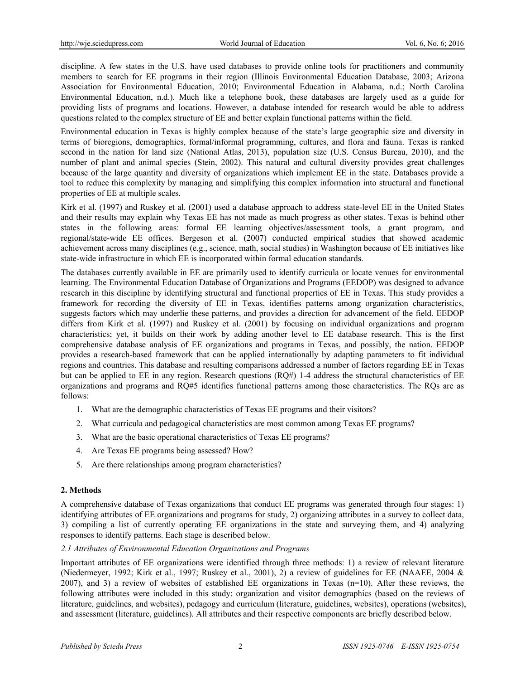discipline. A few states in the U.S. have used databases to provide online tools for practitioners and community members to search for EE programs in their region (Illinois Environmental Education Database, 2003; Arizona Association for Environmental Education, 2010; Environmental Education in Alabama, n.d.; North Carolina Environmental Education, n.d.). Much like a telephone book, these databases are largely used as a guide for providing lists of programs and locations. However, a database intended for research would be able to address questions related to the complex structure of EE and better explain functional patterns within the field.

Environmental education in Texas is highly complex because of the state's large geographic size and diversity in terms of bioregions, demographics, formal/informal programming, cultures, and flora and fauna. Texas is ranked second in the nation for land size (National Atlas, 2013), population size (U.S. Census Bureau, 2010), and the number of plant and animal species (Stein, 2002). This natural and cultural diversity provides great challenges because of the large quantity and diversity of organizations which implement EE in the state. Databases provide a tool to reduce this complexity by managing and simplifying this complex information into structural and functional properties of EE at multiple scales.

Kirk et al. (1997) and Ruskey et al. (2001) used a database approach to address state-level EE in the United States and their results may explain why Texas EE has not made as much progress as other states. Texas is behind other states in the following areas: formal EE learning objectives/assessment tools, a grant program, and regional/state-wide EE offices. Bergeson et al. (2007) conducted empirical studies that showed academic achievement across many disciplines (e.g., science, math, social studies) in Washington because of EE initiatives like state-wide infrastructure in which EE is incorporated within formal education standards.

The databases currently available in EE are primarily used to identify curricula or locate venues for environmental learning. The Environmental Education Database of Organizations and Programs (EEDOP) was designed to advance research in this discipline by identifying structural and functional properties of EE in Texas. This study provides a framework for recording the diversity of EE in Texas, identifies patterns among organization characteristics, suggests factors which may underlie these patterns, and provides a direction for advancement of the field. EEDOP differs from Kirk et al. (1997) and Ruskey et al. (2001) by focusing on individual organizations and program characteristics; yet, it builds on their work by adding another level to EE database research. This is the first comprehensive database analysis of EE organizations and programs in Texas, and possibly, the nation. EEDOP provides a research-based framework that can be applied internationally by adapting parameters to fit individual regions and countries. This database and resulting comparisons addressed a number of factors regarding EE in Texas but can be applied to EE in any region. Research questions (RQ#) 1-4 address the structural characteristics of EE organizations and programs and RQ#5 identifies functional patterns among those characteristics. The RQs are as follows:

- 1. What are the demographic characteristics of Texas EE programs and their visitors?
- 2. What curricula and pedagogical characteristics are most common among Texas EE programs?
- 3. What are the basic operational characteristics of Texas EE programs?
- 4. Are Texas EE programs being assessed? How?
- 5. Are there relationships among program characteristics?

#### **2. Methods**

A comprehensive database of Texas organizations that conduct EE programs was generated through four stages: 1) identifying attributes of EE organizations and programs for study, 2) organizing attributes in a survey to collect data, 3) compiling a list of currently operating EE organizations in the state and surveying them, and 4) analyzing responses to identify patterns. Each stage is described below.

#### *2.1 Attributes of Environmental Education Organizations and Programs*

Important attributes of EE organizations were identified through three methods: 1) a review of relevant literature (Niedermeyer, 1992; Kirk et al., 1997; Ruskey et al., 2001), 2) a review of guidelines for EE (NAAEE, 2004 & 2007), and 3) a review of websites of established EE organizations in Texas (n=10). After these reviews, the following attributes were included in this study: organization and visitor demographics (based on the reviews of literature, guidelines, and websites), pedagogy and curriculum (literature, guidelines, websites), operations (websites), and assessment (literature, guidelines). All attributes and their respective components are briefly described below.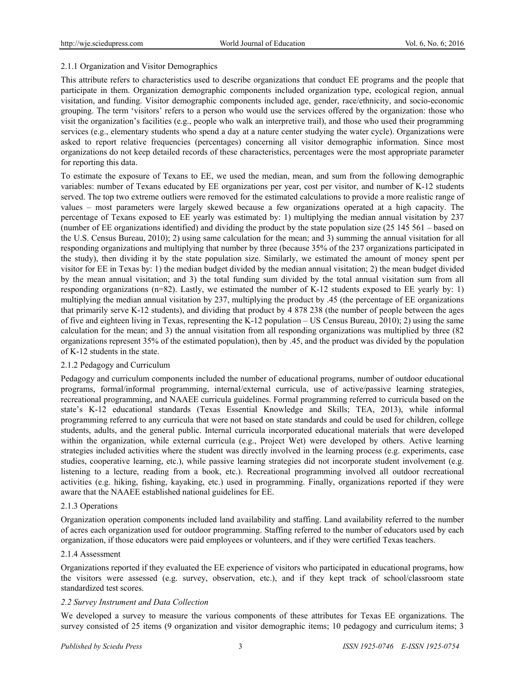#### 2.1.1 Organization and Visitor Demographics

This attribute refers to characteristics used to describe organizations that conduct EE programs and the people that participate in them. Organization demographic components included organization type, ecological region, annual visitation, and funding. Visitor demographic components included age, gender, race/ethnicity, and socio-economic grouping. The term 'visitors' refers to a person who would use the services offered by the organization: those who visit the organization's facilities (e.g., people who walk an interpretive trail), and those who used their programming services (e.g., elementary students who spend a day at a nature center studying the water cycle). Organizations were asked to report relative frequencies (percentages) concerning all visitor demographic information. Since most organizations do not keep detailed records of these characteristics, percentages were the most appropriate parameter for reporting this data.

To estimate the exposure of Texans to EE, we used the median, mean, and sum from the following demographic variables: number of Texans educated by EE organizations per year, cost per visitor, and number of K-12 students served. The top two extreme outliers were removed for the estimated calculations to provide a more realistic range of values – most parameters were largely skewed because a few organizations operated at a high capacity. The percentage of Texans exposed to EE yearly was estimated by: 1) multiplying the median annual visitation by 237 (number of EE organizations identified) and dividing the product by the state population size (25 145 561 – based on the U.S. Census Bureau, 2010); 2) using same calculation for the mean; and 3) summing the annual visitation for all responding organizations and multiplying that number by three (because 35% of the 237 organizations participated in the study), then dividing it by the state population size. Similarly, we estimated the amount of money spent per visitor for EE in Texas by: 1) the median budget divided by the median annual visitation; 2) the mean budget divided by the mean annual visitation; and 3) the total funding sum divided by the total annual visitation sum from all responding organizations (n=82). Lastly, we estimated the number of K-12 students exposed to EE yearly by: 1) multiplying the median annual visitation by 237, multiplying the product by .45 (the percentage of EE organizations that primarily serve K-12 students), and dividing that product by 4 878 238 (the number of people between the ages of five and eighteen living in Texas, representing the K-12 population – US Census Bureau, 2010); 2) using the same calculation for the mean; and 3) the annual visitation from all responding organizations was multiplied by three (82 organizations represent 35% of the estimated population), then by .45, and the product was divided by the population of K-12 students in the state.

#### 2.1.2 Pedagogy and Curriculum

Pedagogy and curriculum components included the number of educational programs, number of outdoor educational programs, formal/informal programming, internal/external curricula, use of active/passive learning strategies, recreational programming, and NAAEE curricula guidelines. Formal programming referred to curricula based on the state's K-12 educational standards (Texas Essential Knowledge and Skills; TEA, 2013), while informal programming referred to any curricula that were not based on state standards and could be used for children, college students, adults, and the general public. Internal curricula incorporated educational materials that were developed within the organization, while external curricula (e.g., Project Wet) were developed by others. Active learning strategies included activities where the student was directly involved in the learning process (e.g. experiments, case studies, cooperative learning, etc.), while passive learning strategies did not incorporate student involvement (e.g. listening to a lecture, reading from a book, etc.). Recreational programming involved all outdoor recreational activities (e.g. hiking, fishing, kayaking, etc.) used in programming. Finally, organizations reported if they were aware that the NAAEE established national guidelines for EE.

#### 2.1.3 Operations

Organization operation components included land availability and staffing. Land availability referred to the number of acres each organization used for outdoor programming. Staffing referred to the number of educators used by each organization, if those educators were paid employees or volunteers, and if they were certified Texas teachers.

#### 2.1.4 Assessment

Organizations reported if they evaluated the EE experience of visitors who participated in educational programs, how the visitors were assessed (e.g. survey, observation, etc.), and if they kept track of school/classroom state standardized test scores.

#### *2.2 Survey Instrument and Data Collection*

We developed a survey to measure the various components of these attributes for Texas EE organizations. The survey consisted of 25 items (9 organization and visitor demographic items; 10 pedagogy and curriculum items; 3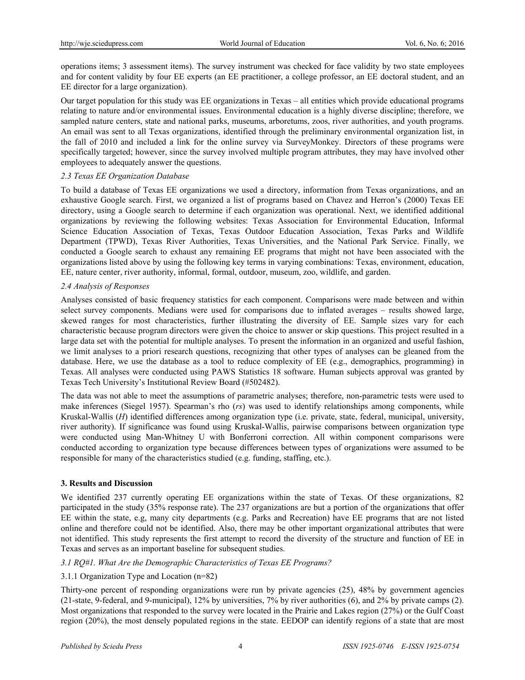operations items; 3 assessment items). The survey instrument was checked for face validity by two state employees and for content validity by four EE experts (an EE practitioner, a college professor, an EE doctoral student, and an EE director for a large organization).

Our target population for this study was EE organizations in Texas – all entities which provide educational programs relating to nature and/or environmental issues. Environmental education is a highly diverse discipline; therefore, we sampled nature centers, state and national parks, museums, arboretums, zoos, river authorities, and youth programs. An email was sent to all Texas organizations, identified through the preliminary environmental organization list, in the fall of 2010 and included a link for the online survey via SurveyMonkey. Directors of these programs were specifically targeted; however, since the survey involved multiple program attributes, they may have involved other employees to adequately answer the questions.

#### *2.3 Texas EE Organization Database*

To build a database of Texas EE organizations we used a directory, information from Texas organizations, and an exhaustive Google search. First, we organized a list of programs based on Chavez and Herron's (2000) Texas EE directory, using a Google search to determine if each organization was operational. Next, we identified additional organizations by reviewing the following websites: Texas Association for Environmental Education, Informal Science Education Association of Texas, Texas Outdoor Education Association, Texas Parks and Wildlife Department (TPWD), Texas River Authorities, Texas Universities, and the National Park Service. Finally, we conducted a Google search to exhaust any remaining EE programs that might not have been associated with the organizations listed above by using the following key terms in varying combinations: Texas, environment, education, EE, nature center, river authority, informal, formal, outdoor, museum, zoo, wildlife, and garden.

#### *2.4 Analysis of Responses*

Analyses consisted of basic frequency statistics for each component. Comparisons were made between and within select survey components. Medians were used for comparisons due to inflated averages – results showed large, skewed ranges for most characteristics, further illustrating the diversity of EE. Sample sizes vary for each characteristic because program directors were given the choice to answer or skip questions. This project resulted in a large data set with the potential for multiple analyses. To present the information in an organized and useful fashion, we limit analyses to a priori research questions, recognizing that other types of analyses can be gleaned from the database. Here, we use the database as a tool to reduce complexity of EE (e.g., demographics, programming) in Texas. All analyses were conducted using PAWS Statistics 18 software. Human subjects approval was granted by Texas Tech University's Institutional Review Board (#502482).

The data was not able to meet the assumptions of parametric analyses; therefore, non-parametric tests were used to make inferences (Siegel 1957). Spearman's rho (*rs*) was used to identify relationships among components, while Kruskal-Wallis (*H*) identified differences among organization type (i.e. private, state, federal, municipal, university, river authority). If significance was found using Kruskal-Wallis, pairwise comparisons between organization type were conducted using Man-Whitney U with Bonferroni correction. All within component comparisons were conducted according to organization type because differences between types of organizations were assumed to be responsible for many of the characteristics studied (e.g. funding, staffing, etc.).

#### **3. Results and Discussion**

We identified 237 currently operating EE organizations within the state of Texas. Of these organizations, 82 participated in the study (35% response rate). The 237 organizations are but a portion of the organizations that offer EE within the state, e.g, many city departments (e.g. Parks and Recreation) have EE programs that are not listed online and therefore could not be identified. Also, there may be other important organizational attributes that were not identified. This study represents the first attempt to record the diversity of the structure and function of EE in Texas and serves as an important baseline for subsequent studies.

#### *3.1 RQ#1. What Are the Demographic Characteristics of Texas EE Programs?*

#### 3.1.1 Organization Type and Location (n=82)

Thirty-one percent of responding organizations were run by private agencies (25), 48% by government agencies (21-state, 9-federal, and 9-municipal), 12% by universities, 7% by river authorities (6), and 2% by private camps (2). Most organizations that responded to the survey were located in the Prairie and Lakes region (27%) or the Gulf Coast region (20%), the most densely populated regions in the state. EEDOP can identify regions of a state that are most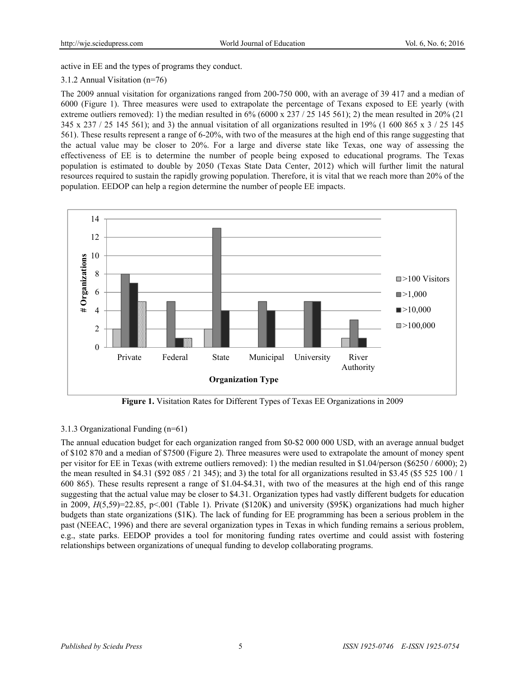active in EE and the types of programs they conduct.

## 3.1.2 Annual Visitation (n=76)

The 2009 annual visitation for organizations ranged from 200-750 000, with an average of 39 417 and a median of 6000 (Figure 1). Three measures were used to extrapolate the percentage of Texans exposed to EE yearly (with extreme outliers removed): 1) the median resulted in  $6\%$  (6000 x 237 / 25 145 561); 2) the mean resulted in 20% (21 345 x 237 / 25 145 561); and 3) the annual visitation of all organizations resulted in 19% (1 600 865 x 3 / 25 145 561). These results represent a range of 6-20%, with two of the measures at the high end of this range suggesting that the actual value may be closer to 20%. For a large and diverse state like Texas, one way of assessing the effectiveness of EE is to determine the number of people being exposed to educational programs. The Texas population is estimated to double by 2050 (Texas State Data Center, 2012) which will further limit the natural resources required to sustain the rapidly growing population. Therefore, it is vital that we reach more than 20% of the population. EEDOP can help a region determine the number of people EE impacts.



**Figure 1.** Visitation Rates for Different Types of Texas EE Organizations in 2009

# 3.1.3 Organizational Funding (n=61)

The annual education budget for each organization ranged from \$0-\$2 000 000 USD, with an average annual budget of \$102 870 and a median of \$7500 (Figure 2). Three measures were used to extrapolate the amount of money spent per visitor for EE in Texas (with extreme outliers removed): 1) the median resulted in \$1.04/person (\$6250 / 6000); 2) the mean resulted in \$4.31 (\$92 085 / 21 345); and 3) the total for all organizations resulted in \$3.45 (\$5 525 100 / 1 600 865). These results represent a range of \$1.04-\$4.31, with two of the measures at the high end of this range suggesting that the actual value may be closer to \$4.31. Organization types had vastly different budgets for education in 2009,  $H(5,59)=22.85$ , p<.001 (Table 1). Private (\$120K) and university (\$95K) organizations had much higher budgets than state organizations (\$1K). The lack of funding for EE programming has been a serious problem in the past (NEEAC, 1996) and there are several organization types in Texas in which funding remains a serious problem, e.g., state parks. EEDOP provides a tool for monitoring funding rates overtime and could assist with fostering relationships between organizations of unequal funding to develop collaborating programs.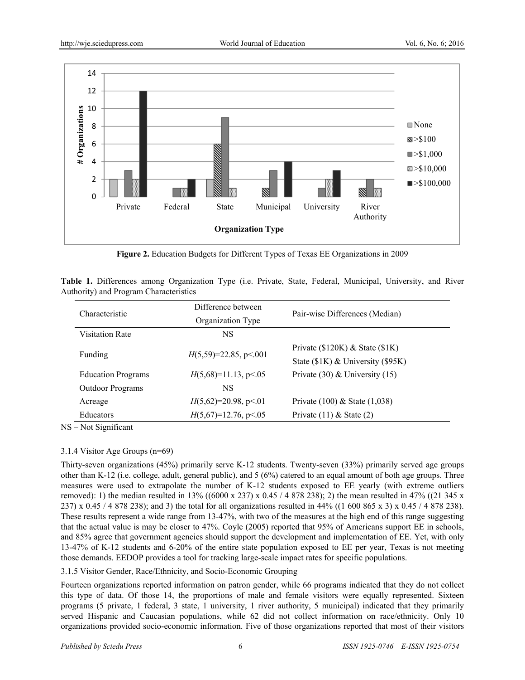

**Figure 2.** Education Budgets for Different Types of Texas EE Organizations in 2009

|                                               | Table 1. Differences among Organization Type (i.e. Private, State, Federal, Municipal, University, and River |  |  |  |  |  |
|-----------------------------------------------|--------------------------------------------------------------------------------------------------------------|--|--|--|--|--|
| <b>Authority) and Program Characteristics</b> |                                                                                                              |  |  |  |  |  |

| Characteristic            | Difference between      |                                    |
|---------------------------|-------------------------|------------------------------------|
|                           | Organization Type       | Pair-wise Differences (Median)     |
| <b>Visitation Rate</b>    | NS                      |                                    |
|                           |                         | Private (\$120K) $&$ State (\$1K)  |
| Funding                   | $H(5,59)=22.85, p<.001$ | State (\$1K) & University (\$95K)  |
| <b>Education Programs</b> | $H(5,68)=11.13, p<.05$  | Private $(30)$ & University $(15)$ |
| <b>Outdoor Programs</b>   | NS                      |                                    |
| Acreage                   | $H(5,62)=20.98$ , p<.01 | Private $(100)$ & State $(1,038)$  |
| Educators                 | $H(5,67)=12.76$ , p<.05 | Private $(11)$ & State $(2)$       |

NS – Not Significant

# 3.1.4 Visitor Age Groups (n=69)

Thirty-seven organizations (45%) primarily serve K-12 students. Twenty-seven (33%) primarily served age groups other than K-12 (i.e. college, adult, general public), and 5 (6%) catered to an equal amount of both age groups. Three measures were used to extrapolate the number of K-12 students exposed to EE yearly (with extreme outliers removed): 1) the median resulted in 13% ((6000 x 237) x 0.45 / 4 878 238); 2) the mean resulted in 47% ((21 345 x 237) x 0.45 / 4 878 238); and 3) the total for all organizations resulted in 44% ((1 600 865 x 3) x 0.45 / 4 878 238). These results represent a wide range from 13-47%, with two of the measures at the high end of this range suggesting that the actual value is may be closer to 47%. Coyle (2005) reported that 95% of Americans support EE in schools, and 85% agree that government agencies should support the development and implementation of EE. Yet, with only 13-47% of K-12 students and 6-20% of the entire state population exposed to EE per year, Texas is not meeting those demands. EEDOP provides a tool for tracking large-scale impact rates for specific populations.

3.1.5 Visitor Gender, Race/Ethnicity, and Socio-Economic Grouping

Fourteen organizations reported information on patron gender, while 66 programs indicated that they do not collect this type of data. Of those 14, the proportions of male and female visitors were equally represented. Sixteen programs (5 private, 1 federal, 3 state, 1 university, 1 river authority, 5 municipal) indicated that they primarily served Hispanic and Caucasian populations, while 62 did not collect information on race/ethnicity. Only 10 organizations provided socio-economic information. Five of those organizations reported that most of their visitors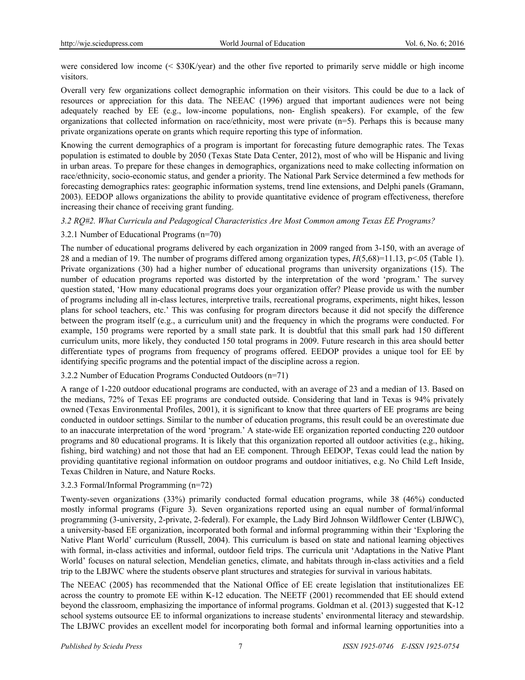were considered low income (< \$30K/year) and the other five reported to primarily serve middle or high income visitors.

Overall very few organizations collect demographic information on their visitors. This could be due to a lack of resources or appreciation for this data. The NEEAC (1996) argued that important audiences were not being adequately reached by EE (e.g., low-income populations, non- English speakers). For example, of the few organizations that collected information on race/ethnicity, most were private (n=5). Perhaps this is because many private organizations operate on grants which require reporting this type of information.

Knowing the current demographics of a program is important for forecasting future demographic rates. The Texas population is estimated to double by 2050 (Texas State Data Center, 2012), most of who will be Hispanic and living in urban areas. To prepare for these changes in demographics, organizations need to make collecting information on race/ethnicity, socio-economic status, and gender a priority. The National Park Service determined a few methods for forecasting demographics rates: geographic information systems, trend line extensions, and Delphi panels (Gramann, 2003). EEDOP allows organizations the ability to provide quantitative evidence of program effectiveness, therefore increasing their chance of receiving grant funding.

*3.2 RQ#2. What Curricula and Pedagogical Characteristics Are Most Common among Texas EE Programs?* 

## 3.2.1 Number of Educational Programs (n=70)

The number of educational programs delivered by each organization in 2009 ranged from 3-150, with an average of 28 and a median of 19. The number of programs differed among organization types, *H*(5,68)=11.13, p<.05 (Table 1). Private organizations (30) had a higher number of educational programs than university organizations (15). The number of education programs reported was distorted by the interpretation of the word 'program.' The survey question stated, 'How many educational programs does your organization offer? Please provide us with the number of programs including all in-class lectures, interpretive trails, recreational programs, experiments, night hikes, lesson plans for school teachers, etc.' This was confusing for program directors because it did not specify the difference between the program itself (e.g., a curriculum unit) and the frequency in which the programs were conducted. For example, 150 programs were reported by a small state park. It is doubtful that this small park had 150 different curriculum units, more likely, they conducted 150 total programs in 2009. Future research in this area should better differentiate types of programs from frequency of programs offered. EEDOP provides a unique tool for EE by identifying specific programs and the potential impact of the discipline across a region.

#### 3.2.2 Number of Education Programs Conducted Outdoors (n=71)

A range of 1-220 outdoor educational programs are conducted, with an average of 23 and a median of 13. Based on the medians, 72% of Texas EE programs are conducted outside. Considering that land in Texas is 94% privately owned (Texas Environmental Profiles, 2001), it is significant to know that three quarters of EE programs are being conducted in outdoor settings. Similar to the number of education programs, this result could be an overestimate due to an inaccurate interpretation of the word 'program.' A state-wide EE organization reported conducting 220 outdoor programs and 80 educational programs. It is likely that this organization reported all outdoor activities (e.g., hiking, fishing, bird watching) and not those that had an EE component. Through EEDOP, Texas could lead the nation by providing quantitative regional information on outdoor programs and outdoor initiatives, e.g. No Child Left Inside, Texas Children in Nature, and Nature Rocks.

#### 3.2.3 Formal/Informal Programming (n=72)

Twenty-seven organizations (33%) primarily conducted formal education programs, while 38 (46%) conducted mostly informal programs (Figure 3). Seven organizations reported using an equal number of formal/informal programming (3-university, 2-private, 2-federal). For example, the Lady Bird Johnson Wildflower Center (LBJWC), a university-based EE organization, incorporated both formal and informal programming within their 'Exploring the Native Plant World' curriculum (Russell, 2004). This curriculum is based on state and national learning objectives with formal, in-class activities and informal, outdoor field trips. The curricula unit 'Adaptations in the Native Plant World' focuses on natural selection, Mendelian genetics, climate, and habitats through in-class activities and a field trip to the LBJWC where the students observe plant structures and strategies for survival in various habitats.

The NEEAC (2005) has recommended that the National Office of EE create legislation that institutionalizes EE across the country to promote EE within K-12 education. The NEETF (2001) recommended that EE should extend beyond the classroom, emphasizing the importance of informal programs. Goldman et al. (2013) suggested that K-12 school systems outsource EE to informal organizations to increase students' environmental literacy and stewardship. The LBJWC provides an excellent model for incorporating both formal and informal learning opportunities into a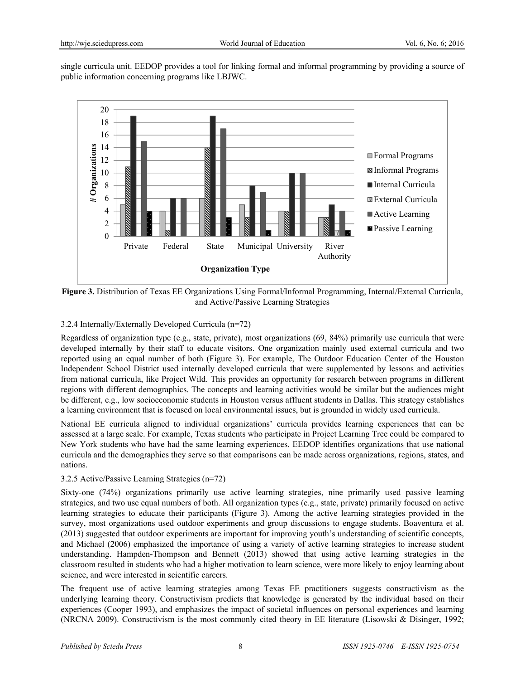single curricula unit. EEDOP provides a tool for linking formal and informal programming by providing a source of public information concerning programs like LBJWC.



**Figure 3.** Distribution of Texas EE Organizations Using Formal/Informal Programming, Internal/External Curricula, and Active/Passive Learning Strategies

# 3.2.4 Internally/Externally Developed Curricula (n=72)

Regardless of organization type (e.g., state, private), most organizations (69, 84%) primarily use curricula that were developed internally by their staff to educate visitors. One organization mainly used external curricula and two reported using an equal number of both (Figure 3). For example, The Outdoor Education Center of the Houston Independent School District used internally developed curricula that were supplemented by lessons and activities from national curricula, like Project Wild. This provides an opportunity for research between programs in different regions with different demographics. The concepts and learning activities would be similar but the audiences might be different, e.g., low socioeconomic students in Houston versus affluent students in Dallas. This strategy establishes a learning environment that is focused on local environmental issues, but is grounded in widely used curricula.

National EE curricula aligned to individual organizations' curricula provides learning experiences that can be assessed at a large scale. For example, Texas students who participate in Project Learning Tree could be compared to New York students who have had the same learning experiences. EEDOP identifies organizations that use national curricula and the demographics they serve so that comparisons can be made across organizations, regions, states, and nations.

#### 3.2.5 Active/Passive Learning Strategies (n=72)

Sixty-one (74%) organizations primarily use active learning strategies, nine primarily used passive learning strategies, and two use equal numbers of both. All organization types (e.g., state, private) primarily focused on active learning strategies to educate their participants (Figure 3). Among the active learning strategies provided in the survey, most organizations used outdoor experiments and group discussions to engage students. Boaventura et al. (2013) suggested that outdoor experiments are important for improving youth's understanding of scientific concepts, and Michael (2006) emphasized the importance of using a variety of active learning strategies to increase student understanding. Hampden-Thompson and Bennett (2013) showed that using active learning strategies in the classroom resulted in students who had a higher motivation to learn science, were more likely to enjoy learning about science, and were interested in scientific careers.

The frequent use of active learning strategies among Texas EE practitioners suggests constructivism as the underlying learning theory. Constructivism predicts that knowledge is generated by the individual based on their experiences (Cooper 1993), and emphasizes the impact of societal influences on personal experiences and learning (NRCNA 2009). Constructivism is the most commonly cited theory in EE literature (Lisowski & Disinger, 1992;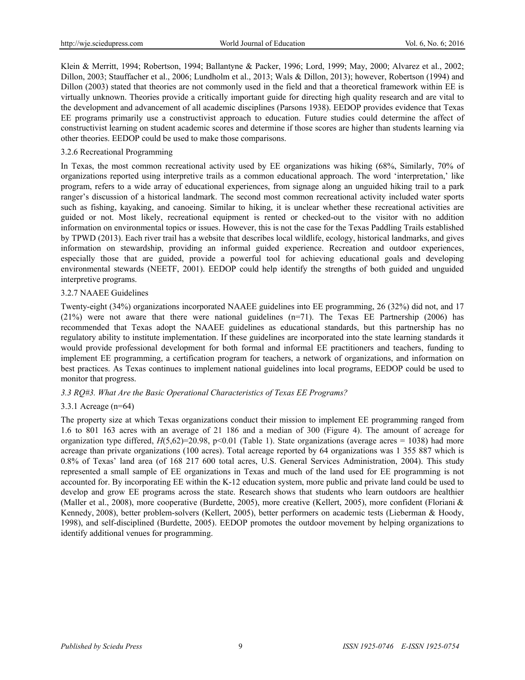Klein & Merritt, 1994; Robertson, 1994; Ballantyne & Packer, 1996; Lord, 1999; May, 2000; Alvarez et al., 2002; Dillon, 2003; Stauffacher et al., 2006; Lundholm et al., 2013; Wals & Dillon, 2013); however, Robertson (1994) and Dillon (2003) stated that theories are not commonly used in the field and that a theoretical framework within EE is virtually unknown. Theories provide a critically important guide for directing high quality research and are vital to the development and advancement of all academic disciplines (Parsons 1938). EEDOP provides evidence that Texas EE programs primarily use a constructivist approach to education. Future studies could determine the affect of constructivist learning on student academic scores and determine if those scores are higher than students learning via other theories. EEDOP could be used to make those comparisons.

#### 3.2.6 Recreational Programming

In Texas, the most common recreational activity used by EE organizations was hiking (68%, Similarly, 70% of organizations reported using interpretive trails as a common educational approach. The word 'interpretation,' like program, refers to a wide array of educational experiences, from signage along an unguided hiking trail to a park ranger's discussion of a historical landmark. The second most common recreational activity included water sports such as fishing, kayaking, and canoeing. Similar to hiking, it is unclear whether these recreational activities are guided or not. Most likely, recreational equipment is rented or checked-out to the visitor with no addition information on environmental topics or issues. However, this is not the case for the Texas Paddling Trails established by TPWD (2013). Each river trail has a website that describes local wildlife, ecology, historical landmarks, and gives information on stewardship, providing an informal guided experience. Recreation and outdoor experiences, especially those that are guided, provide a powerful tool for achieving educational goals and developing environmental stewards (NEETF, 2001). EEDOP could help identify the strengths of both guided and unguided interpretive programs.

#### 3.2.7 NAAEE Guidelines

Twenty-eight (34%) organizations incorporated NAAEE guidelines into EE programming, 26 (32%) did not, and 17 (21%) were not aware that there were national guidelines (n=71). The Texas EE Partnership (2006) has recommended that Texas adopt the NAAEE guidelines as educational standards, but this partnership has no regulatory ability to institute implementation. If these guidelines are incorporated into the state learning standards it would provide professional development for both formal and informal EE practitioners and teachers, funding to implement EE programming, a certification program for teachers, a network of organizations, and information on best practices. As Texas continues to implement national guidelines into local programs, EEDOP could be used to monitor that progress.

#### *3.3 RQ#3. What Are the Basic Operational Characteristics of Texas EE Programs?*

#### 3.3.1 Acreage (n=64)

The property size at which Texas organizations conduct their mission to implement EE programming ranged from 1.6 to 801 163 acres with an average of 21 186 and a median of 300 (Figure 4). The amount of acreage for organization type differed,  $H(5,62)=20.98$ , p<0.01 (Table 1). State organizations (average acres = 1038) had more acreage than private organizations (100 acres). Total acreage reported by 64 organizations was 1 355 887 which is 0.8% of Texas' land area (of 168 217 600 total acres, U.S. General Services Administration, 2004). This study represented a small sample of EE organizations in Texas and much of the land used for EE programming is not accounted for. By incorporating EE within the K-12 education system, more public and private land could be used to develop and grow EE programs across the state. Research shows that students who learn outdoors are healthier (Maller et al., 2008), more cooperative (Burdette, 2005), more creative (Kellert, 2005), more confident (Floriani & Kennedy, 2008), better problem-solvers (Kellert, 2005), better performers on academic tests (Lieberman & Hoody, 1998), and self-disciplined (Burdette, 2005). EEDOP promotes the outdoor movement by helping organizations to identify additional venues for programming.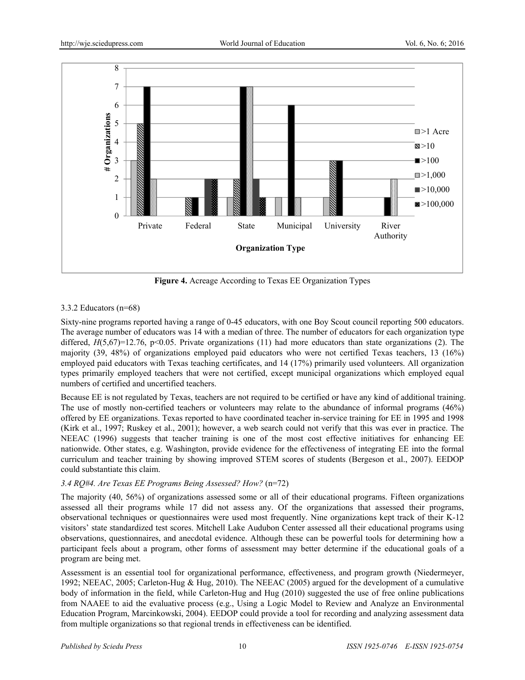

**Figure 4.** Acreage According to Texas EE Organization Types

## 3.3.2 Educators (n=68)

Sixty-nine programs reported having a range of 0-45 educators, with one Boy Scout council reporting 500 educators. The average number of educators was 14 with a median of three. The number of educators for each organization type differed,  $H(5,67)=12.76$ , p<0.05. Private organizations (11) had more educators than state organizations (2). The majority (39, 48%) of organizations employed paid educators who were not certified Texas teachers, 13 (16%) employed paid educators with Texas teaching certificates, and 14 (17%) primarily used volunteers. All organization types primarily employed teachers that were not certified, except municipal organizations which employed equal numbers of certified and uncertified teachers.

Because EE is not regulated by Texas, teachers are not required to be certified or have any kind of additional training. The use of mostly non-certified teachers or volunteers may relate to the abundance of informal programs (46%) offered by EE organizations. Texas reported to have coordinated teacher in-service training for EE in 1995 and 1998 (Kirk et al., 1997; Ruskey et al., 2001); however, a web search could not verify that this was ever in practice. The NEEAC (1996) suggests that teacher training is one of the most cost effective initiatives for enhancing EE nationwide. Other states, e.g. Washington, provide evidence for the effectiveness of integrating EE into the formal curriculum and teacher training by showing improved STEM scores of students (Bergeson et al., 2007). EEDOP could substantiate this claim.

# *3.4 RQ#4. Are Texas EE Programs Being Assessed? How?* (n=72)

The majority (40, 56%) of organizations assessed some or all of their educational programs. Fifteen organizations assessed all their programs while 17 did not assess any. Of the organizations that assessed their programs, observational techniques or questionnaires were used most frequently. Nine organizations kept track of their K-12 visitors' state standardized test scores. Mitchell Lake Audubon Center assessed all their educational programs using observations, questionnaires, and anecdotal evidence. Although these can be powerful tools for determining how a participant feels about a program, other forms of assessment may better determine if the educational goals of a program are being met.

Assessment is an essential tool for organizational performance, effectiveness, and program growth (Niedermeyer, 1992; NEEAC, 2005; Carleton-Hug & Hug, 2010). The NEEAC (2005) argued for the development of a cumulative body of information in the field, while Carleton-Hug and Hug (2010) suggested the use of free online publications from NAAEE to aid the evaluative process (e.g., Using a Logic Model to Review and Analyze an Environmental Education Program, Marcinkowski, 2004). EEDOP could provide a tool for recording and analyzing assessment data from multiple organizations so that regional trends in effectiveness can be identified.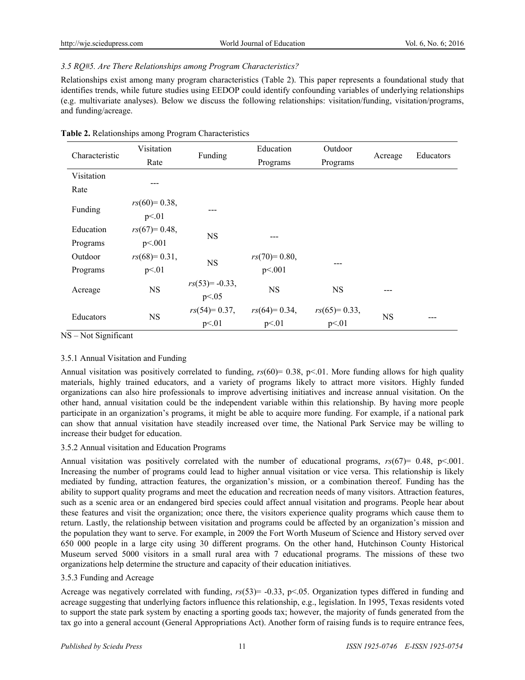## *3.5 RQ#5. Are There Relationships among Program Characteristics?*

Relationships exist among many program characteristics (Table 2). This paper represents a foundational study that identifies trends, while future studies using EEDOP could identify confounding variables of underlying relationships (e.g. multivariate analyses). Below we discuss the following relationships: visitation/funding, visitation/programs, and funding/acreage.

|  |  |  | Table 2. Relationships among Program Characteristics |  |
|--|--|--|------------------------------------------------------|--|
|  |  |  |                                                      |  |

| Characteristic | Visitation     |                  | Education      | Outdoor        |           | Educators |  |
|----------------|----------------|------------------|----------------|----------------|-----------|-----------|--|
|                | Rate           | Funding          | Programs       | Programs       | Acreage   |           |  |
| Visitation     |                |                  |                |                |           |           |  |
| Rate           |                |                  |                |                |           |           |  |
| Funding        | $rs(60)=0.38,$ |                  |                |                |           |           |  |
|                | p<01           | ---              |                |                |           |           |  |
| Education      | $rs(67)=0.48,$ | <b>NS</b>        |                |                |           |           |  |
| Programs       | p<001          |                  |                |                |           |           |  |
| Outdoor        | $rs(68)=0.31,$ | <b>NS</b>        | $rs(70)=0.80,$ |                |           |           |  |
| Programs       | p<01           |                  | p<.001         | ---            |           |           |  |
|                | <b>NS</b>      | $rs(53)= -0.33,$ | <b>NS</b>      | <b>NS</b>      |           |           |  |
| Acreage        |                | p < 0.05         |                |                |           |           |  |
| Educators      | <b>NS</b>      | $rs(54)=0.37,$   | $rs(64)=0.34,$ | $rs(65)=0.33,$ | <b>NS</b> | ---       |  |
|                |                | p<01             | p<01           | p<01           |           |           |  |

NS – Not Significant

#### 3.5.1 Annual Visitation and Funding

Annual visitation was positively correlated to funding,  $r_s(60) = 0.38$ ,  $p \le 0.01$ . More funding allows for high quality materials, highly trained educators, and a variety of programs likely to attract more visitors. Highly funded organizations can also hire professionals to improve advertising initiatives and increase annual visitation. On the other hand, annual visitation could be the independent variable within this relationship. By having more people participate in an organization's programs, it might be able to acquire more funding. For example, if a national park can show that annual visitation have steadily increased over time, the National Park Service may be willing to increase their budget for education.

#### 3.5.2 Annual visitation and Education Programs

Annual visitation was positively correlated with the number of educational programs,  $rs(67)=0.48$ , p<.001. Increasing the number of programs could lead to higher annual visitation or vice versa. This relationship is likely mediated by funding, attraction features, the organization's mission, or a combination thereof. Funding has the ability to support quality programs and meet the education and recreation needs of many visitors. Attraction features, such as a scenic area or an endangered bird species could affect annual visitation and programs. People hear about these features and visit the organization; once there, the visitors experience quality programs which cause them to return. Lastly, the relationship between visitation and programs could be affected by an organization's mission and the population they want to serve. For example, in 2009 the Fort Worth Museum of Science and History served over 650 000 people in a large city using 30 different programs. On the other hand, Hutchinson County Historical Museum served 5000 visitors in a small rural area with 7 educational programs. The missions of these two organizations help determine the structure and capacity of their education initiatives.

#### 3.5.3 Funding and Acreage

Acreage was negatively correlated with funding,  $rs(53) = -0.33$ , p<05. Organization types differed in funding and acreage suggesting that underlying factors influence this relationship, e.g., legislation. In 1995, Texas residents voted to support the state park system by enacting a sporting goods tax; however, the majority of funds generated from the tax go into a general account (General Appropriations Act). Another form of raising funds is to require entrance fees,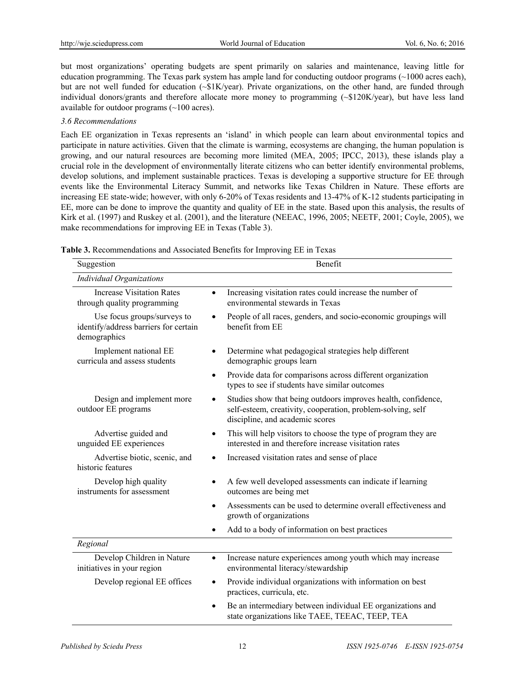but most organizations' operating budgets are spent primarily on salaries and maintenance, leaving little for education programming. The Texas park system has ample land for conducting outdoor programs (~1000 acres each), but are not well funded for education (~\$1K/year). Private organizations, on the other hand, are funded through individual donors/grants and therefore allocate more money to programming (~\$120K/year), but have less land available for outdoor programs (~100 acres).

#### *3.6 Recommendations*

Each EE organization in Texas represents an 'island' in which people can learn about environmental topics and participate in nature activities. Given that the climate is warming, ecosystems are changing, the human population is growing, and our natural resources are becoming more limited (MEA, 2005; IPCC, 2013), these islands play a crucial role in the development of environmentally literate citizens who can better identify environmental problems, develop solutions, and implement sustainable practices. Texas is developing a supportive structure for EE through events like the Environmental Literacy Summit, and networks like Texas Children in Nature. These efforts are increasing EE state-wide; however, with only 6-20% of Texas residents and 13-47% of K-12 students participating in EE, more can be done to improve the quantity and quality of EE in the state. Based upon this analysis, the results of Kirk et al. (1997) and Ruskey et al. (2001), and the literature (NEEAC, 1996, 2005; NEETF, 2001; Coyle, 2005), we make recommendations for improving EE in Texas (Table 3).

| Suggestion                                                                           | Benefit                                                                                                                                                                      |
|--------------------------------------------------------------------------------------|------------------------------------------------------------------------------------------------------------------------------------------------------------------------------|
| <b>Individual Organizations</b>                                                      |                                                                                                                                                                              |
| <b>Increase Visitation Rates</b><br>through quality programming                      | Increasing visitation rates could increase the number of<br>$\bullet$<br>environmental stewards in Texas                                                                     |
| Use focus groups/surveys to<br>identify/address barriers for certain<br>demographics | People of all races, genders, and socio-economic groupings will<br>$\bullet$<br>benefit from EE                                                                              |
| Implement national EE<br>curricula and assess students                               | Determine what pedagogical strategies help different<br>٠<br>demographic groups learn                                                                                        |
|                                                                                      | Provide data for comparisons across different organization<br>$\bullet$<br>types to see if students have similar outcomes                                                    |
| Design and implement more<br>outdoor EE programs                                     | Studies show that being outdoors improves health, confidence,<br>$\bullet$<br>self-esteem, creativity, cooperation, problem-solving, self<br>discipline, and academic scores |
| Advertise guided and<br>unguided EE experiences                                      | This will help visitors to choose the type of program they are<br>$\bullet$<br>interested in and therefore increase visitation rates                                         |
| Advertise biotic, scenic, and<br>historic features                                   | Increased visitation rates and sense of place<br>$\bullet$                                                                                                                   |
| Develop high quality<br>instruments for assessment                                   | A few well developed assessments can indicate if learning<br>$\bullet$<br>outcomes are being met                                                                             |
|                                                                                      | Assessments can be used to determine overall effectiveness and<br>$\bullet$<br>growth of organizations                                                                       |
|                                                                                      | Add to a body of information on best practices                                                                                                                               |
| Regional                                                                             |                                                                                                                                                                              |
| Develop Children in Nature<br>initiatives in your region                             | Increase nature experiences among youth which may increase<br>$\bullet$<br>environmental literacy/stewardship                                                                |
| Develop regional EE offices                                                          | Provide individual organizations with information on best<br>$\bullet$<br>practices, curricula, etc.                                                                         |
|                                                                                      | Be an intermediary between individual EE organizations and<br>state organizations like TAEE, TEEAC, TEEP, TEA                                                                |

**Table 3.** Recommendations and Associated Benefits for Improving EE in Texas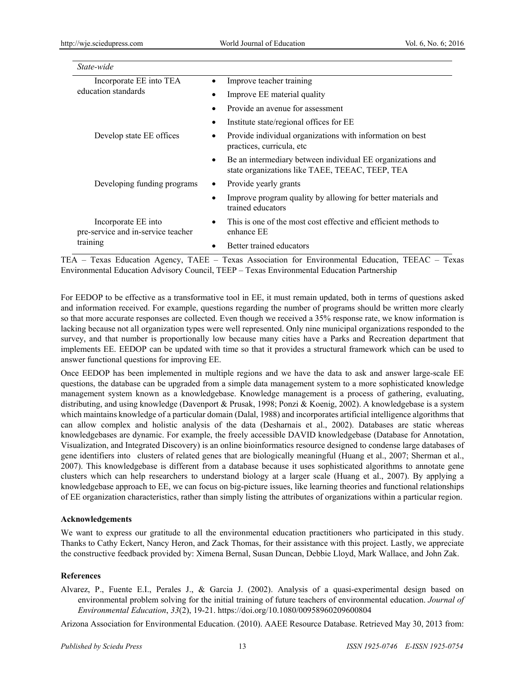| State-wide                                                |                                                                                                                    |  |  |  |
|-----------------------------------------------------------|--------------------------------------------------------------------------------------------------------------------|--|--|--|
| Incorporate EE into TEA                                   | Improve teacher training                                                                                           |  |  |  |
| education standards                                       | Improve EE material quality                                                                                        |  |  |  |
|                                                           | Provide an avenue for assessment<br>$\bullet$                                                                      |  |  |  |
|                                                           | Institute state/regional offices for EE<br>٠                                                                       |  |  |  |
| Develop state EE offices                                  | Provide individual organizations with information on best<br>practices, curricula, etc.                            |  |  |  |
|                                                           | Be an intermediary between individual EE organizations and<br>٠<br>state organizations like TAEE, TEEAC, TEEP, TEA |  |  |  |
| Developing funding programs                               | Provide yearly grants<br>٠                                                                                         |  |  |  |
|                                                           | Improve program quality by allowing for better materials and<br>trained educators                                  |  |  |  |
| Incorporate EE into<br>pre-service and in-service teacher | This is one of the most cost effective and efficient methods to<br>٠<br>enhance EE                                 |  |  |  |
| training                                                  | Better trained educators                                                                                           |  |  |  |

TEA – Texas Education Agency, TAEE – Texas Association for Environmental Education, TEEAC – Texas Environmental Education Advisory Council, TEEP – Texas Environmental Education Partnership

For EEDOP to be effective as a transformative tool in EE, it must remain updated, both in terms of questions asked and information received. For example, questions regarding the number of programs should be written more clearly so that more accurate responses are collected. Even though we received a 35% response rate, we know information is lacking because not all organization types were well represented. Only nine municipal organizations responded to the survey, and that number is proportionally low because many cities have a Parks and Recreation department that implements EE. EEDOP can be updated with time so that it provides a structural framework which can be used to answer functional questions for improving EE.

Once EEDOP has been implemented in multiple regions and we have the data to ask and answer large-scale EE questions, the database can be upgraded from a simple data management system to a more sophisticated knowledge management system known as a knowledgebase. Knowledge management is a process of gathering, evaluating, distributing, and using knowledge (Davenport & Prusak, 1998; Ponzi & Koenig, 2002). A knowledgebase is a system which maintains knowledge of a particular domain (Dalal, 1988) and incorporates artificial intelligence algorithms that can allow complex and holistic analysis of the data (Desharnais et al., 2002). Databases are static whereas knowledgebases are dynamic. For example, the freely accessible DAVID knowledgebase (Database for Annotation, Visualization, and Integrated Discovery) is an online bioinformatics resource designed to condense large databases of gene identifiers into clusters of related genes that are biologically meaningful (Huang et al., 2007; Sherman et al., 2007). This knowledgebase is different from a database because it uses sophisticated algorithms to annotate gene clusters which can help researchers to understand biology at a larger scale (Huang et al., 2007). By applying a knowledgebase approach to EE, we can focus on big-picture issues, like learning theories and functional relationships of EE organization characteristics, rather than simply listing the attributes of organizations within a particular region.

#### **Acknowledgements**

We want to express our gratitude to all the environmental education practitioners who participated in this study. Thanks to Cathy Eckert, Nancy Heron, and Zack Thomas, for their assistance with this project. Lastly, we appreciate the constructive feedback provided by: Ximena Bernal, Susan Duncan, Debbie Lloyd, Mark Wallace, and John Zak.

# **References**

Alvarez, P., Fuente E.I., Perales J., & Garcia J. (2002). Analysis of a quasi-experimental design based on environmental problem solving for the initial training of future teachers of environmental education. *Journal of Environmental Education*, *33*(2), 19-21. https://doi.org/10.1080/00958960209600804

Arizona Association for Environmental Education. (2010). AAEE Resource Database. Retrieved May 30, 2013 from: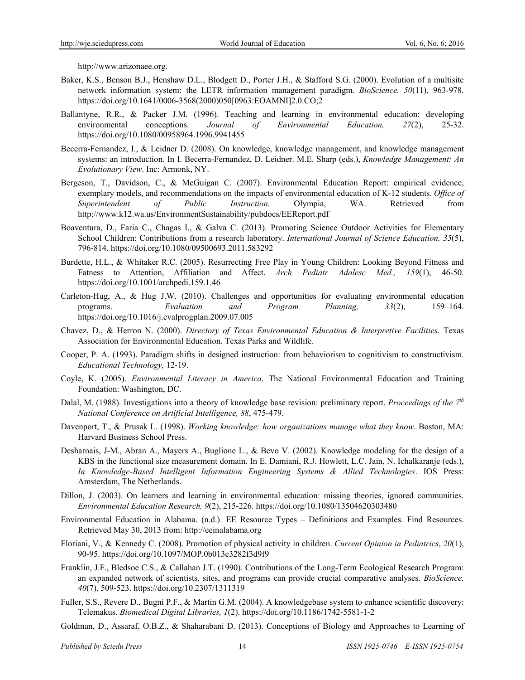http://www.arizonaee.org.

- Baker, K.S., Benson B.J., Henshaw D.L., Blodgett D., Porter J.H., & Stafford S.G. (2000). Evolution of a multisite network information system: the LETR information management paradigm. *BioScience. 50*(11), 963-978. https://doi.org/10.1641/0006-3568(2000)050[0963:EOAMNI]2.0.CO;2
- Ballantyne, R.R., & Packer J.M. (1996). Teaching and learning in environmental education: developing environmental conceptions. *Journal of Environmental Education, 27*(2), 25-32. https://doi.org/10.1080/00958964.1996.9941455
- Becerra-Fernandez, I., & Leidner D. (2008). On knowledge, knowledge management, and knowledge management systems: an introduction. In I. Becerra-Fernandez, D. Leidner. M.E. Sharp (eds.), *Knowledge Management: An Evolutionary View*. Inc: Armonk, NY.
- Bergeson, T., Davidson, C., & McGuigan C. (2007). Environmental Education Report: empirical evidence, exemplary models, and recommendations on the impacts of environmental education of K-12 students. *Office of Superintendent of Public Instruction.* Olympia, WA. Retrieved from http://www.k12.wa.us/EnvironmentSustainability/pubdocs/EEReport.pdf
- Boaventura, D., Faria C., Chagas I., & Galva C. (2013). Promoting Science Outdoor Activities for Elementary School Children: Contributions from a research laboratory. *International Journal of Science Education, 35*(5), 796-814. https://doi.org/10.1080/09500693.2011.583292
- Burdette, H.L., & Whitaker R.C. (2005). Resurrecting Free Play in Young Children: Looking Beyond Fitness and Fatness to Attention, Affiliation and Affect. *Arch Pediatr Adolesc Med., 159*(1), 46-50. https://doi.org/10.1001/archpedi.159.1.46
- Carleton-Hug, A., & Hug J.W. (2010). Challenges and opportunities for evaluating environmental education programs. *Evaluation and Program Planning, 33*(2), 159–164. https://doi.org/10.1016/j.evalprogplan.2009.07.005
- Chavez, D., & Herron N. (2000). *Directory of Texas Environmental Education & Interpretive Facilities*. Texas Association for Environmental Education. Texas Parks and Wildlife.
- Cooper, P. A. (1993). Paradigm shifts in designed instruction: from behaviorism to cognitivism to constructivism. *Educational Technology,* 12-19.
- Coyle, K. (2005). *Environmental Literacy in America*. The National Environmental Education and Training Foundation: Washington, DC.
- Dalal, M. (1988). Investigations into a theory of knowledge base revision: preliminary report. *Proceedings of the 7th National Conference on Artificial Intelligence, 88*, 475-479.
- Davenport, T., & Prusak L. (1998). *Working knowledge: how organizations manage what they know*. Boston, MA: Harvard Business School Press.
- Desharnais, J-M., Abran A., Mayers A., Buglione L., & Bevo V. (2002). Knowledge modeling for the design of a KBS in the functional size measurement domain. In E. Damiani, R.J. Howlett, L.C. Jain, N. Ichalkaranje (eds.), *In Knowledge-Based Intelligent Information Engineering Systems & Allied Technologies*. IOS Press: Amsterdam, The Netherlands.
- Dillon, J. (2003). On learners and learning in environmental education: missing theories, ignored communities. *Environmental Education Research, 9*(2), 215-226. https://doi.org/10.1080/13504620303480
- Environmental Education in Alabama. (n.d.). EE Resource Types Definitions and Examples. Find Resources. Retrieved May 30, 2013 from: http://eeinalabama.org
- Floriani, V., & Kennedy C. (2008). Promotion of physical activity in children. *Current Opinion in Pediatrics*, *20*(1), 90-95. https://doi.org/10.1097/MOP.0b013e3282f3d9f9
- Franklin, J.F., Bledsoe C.S., & Callahan J.T. (1990). Contributions of the Long-Term Ecological Research Program: an expanded network of scientists, sites, and programs can provide crucial comparative analyses. *BioScience. 40*(7), 509-523. https://doi.org/10.2307/1311319
- Fuller, S.S., Revere D., Bugni P.F., & Martin G.M. (2004). A knowledgebase system to enhance scientific discovery: Telemakus. *Biomedical Digital Libraries, 1*(2). https://doi.org/10.1186/1742-5581-1-2
- Goldman, D., Assaraf, O.B.Z., & Shaharabani D. (2013). Conceptions of Biology and Approaches to Learning of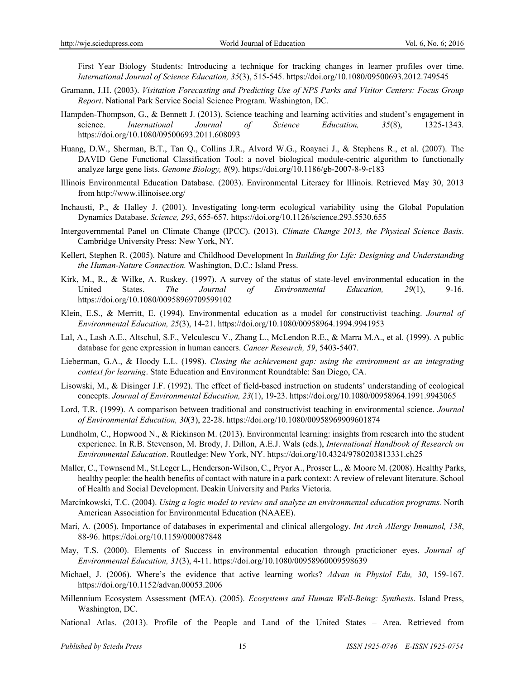First Year Biology Students: Introducing a technique for tracking changes in learner profiles over time. *International Journal of Science Education, 35*(3), 515-545. https://doi.org/10.1080/09500693.2012.749545

- Gramann, J.H. (2003). *Visitation Forecasting and Predicting Use of NPS Parks and Visitor Centers: Focus Group Report*. National Park Service Social Science Program. Washington, DC.
- Hampden-Thompson, G., & Bennett J. (2013). Science teaching and learning activities and student's engagement in science. *International Journal of Science Education, 35*(8), 1325-1343. https://doi.org/10.1080/09500693.2011.608093
- Huang, D.W., Sherman, B.T., Tan Q., Collins J.R., Alvord W.G., Roayaei J., & Stephens R., et al. (2007). The DAVID Gene Functional Classification Tool: a novel biological module-centric algorithm to functionally analyze large gene lists. *Genome Biology, 8*(9). https://doi.org/10.1186/gb-2007-8-9-r183
- Illinois Environmental Education Database. (2003). Environmental Literacy for Illinois. Retrieved May 30, 2013 from http://www.illinoisee.org/
- Inchausti, P., & Halley J. (2001). Investigating long-term ecological variability using the Global Population Dynamics Database. *Science, 293*, 655-657. https://doi.org/10.1126/science.293.5530.655
- Intergovernmental Panel on Climate Change (IPCC). (2013). *Climate Change 2013, the Physical Science Basis*. Cambridge University Press: New York, NY.
- Kellert, Stephen R. (2005). Nature and Childhood Development In *Building for Life: Designing and Understanding the Human-Nature Connection.* Washington, D.C.: Island Press.
- Kirk, M., R., & Wilke, A. Ruskey. (1997). A survey of the status of state-level environmental education in the United States. *The Journal of Environmental Education, 29*(1), 9-16. https://doi.org/10.1080/00958969709599102
- Klein, E.S., & Merritt, E. (1994). Environmental education as a model for constructivist teaching. *Journal of Environmental Education, 25*(3), 14-21. https://doi.org/10.1080/00958964.1994.9941953
- Lal, A., Lash A.E., Altschul, S.F., Velculescu V., Zhang L., McLendon R.E., & Marra M.A., et al. (1999). A public database for gene expression in human cancers. *Cancer Research, 59*, 5403-5407.
- Lieberman, G.A., & Hoody L.L. (1998). *Closing the achievement gap: using the environment as an integrating context for learning*. State Education and Environment Roundtable: San Diego, CA.
- Lisowski, M., & Disinger J.F. (1992). The effect of field-based instruction on students' understanding of ecological concepts. *Journal of Environmental Education, 23*(1), 19-23. https://doi.org/10.1080/00958964.1991.9943065
- Lord, T.R. (1999). A comparison between traditional and constructivist teaching in environmental science. *Journal of Environmental Education, 30*(3), 22-28. https://doi.org/10.1080/00958969909601874
- Lundholm, C., Hopwood N., & Rickinson M. (2013). Environmental learning: insights from research into the student experience. In R.B. Stevenson, M. Brody, J. Dillon, A.E.J. Wals (eds.), *International Handbook of Research on Environmental Education*. Routledge: New York, NY. https://doi.org/10.4324/9780203813331.ch25
- Maller, C., Townsend M., St.Leger L., Henderson-Wilson, C., Pryor A., Prosser L., & Moore M. (2008). Healthy Parks, healthy people: the health benefits of contact with nature in a park context: A review of relevant literature. School of Health and Social Development. Deakin University and Parks Victoria.
- Marcinkowski, T.C. (2004). *Using a logic model to review and analyze an environmental education programs.* North American Association for Environmental Education (NAAEE).
- Mari, A. (2005). Importance of databases in experimental and clinical allergology. *Int Arch Allergy Immunol, 138*, 88-96. https://doi.org/10.1159/000087848
- May, T.S. (2000). Elements of Success in environmental education through practicioner eyes. *Journal of Environmental Education, 31*(3), 4-11. https://doi.org/10.1080/00958960009598639
- Michael, J. (2006). Where's the evidence that active learning works? *Advan in Physiol Edu, 30*, 159-167. https://doi.org/10.1152/advan.00053.2006
- Millennium Ecosystem Assessment (MEA). (2005). *Ecosystems and Human Well-Being: Synthesis*. Island Press, Washington, DC.
- National Atlas. (2013). Profile of the People and Land of the United States Area. Retrieved from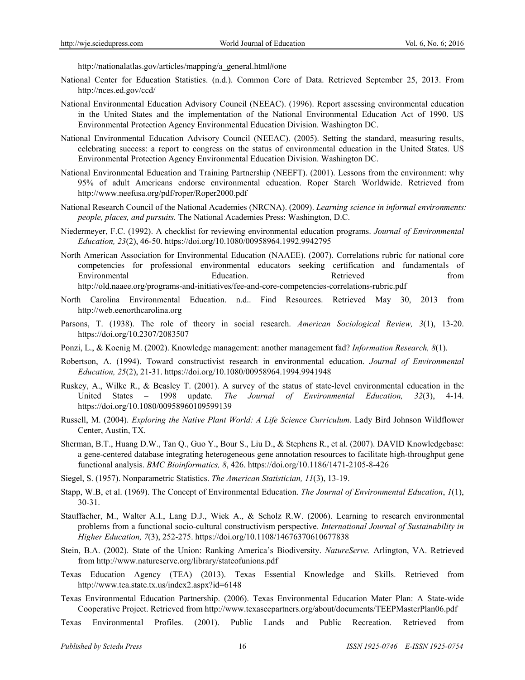http://nationalatlas.gov/articles/mapping/a\_general.html#one

- National Center for Education Statistics. (n.d.). Common Core of Data. Retrieved September 25, 2013. From http://nces.ed.gov/ccd/
- National Environmental Education Advisory Council (NEEAC). (1996). Report assessing environmental education in the United States and the implementation of the National Environmental Education Act of 1990. US Environmental Protection Agency Environmental Education Division. Washington DC.
- National Environmental Education Advisory Council (NEEAC). (2005). Setting the standard, measuring results, celebrating success: a report to congress on the status of environmental education in the United States. US Environmental Protection Agency Environmental Education Division. Washington DC.
- National Environmental Education and Training Partnership (NEEFT). (2001). Lessons from the environment: why 95% of adult Americans endorse environmental education. Roper Starch Worldwide. Retrieved from http://www.neefusa.org/pdf/roper/Roper2000.pdf
- National Research Council of the National Academies (NRCNA). (2009). *Learning science in informal environments: people, places, and pursuits.* The National Academies Press: Washington, D.C.
- Niedermeyer, F.C. (1992). A checklist for reviewing environmental education programs. *Journal of Environmental Education, 23*(2), 46-50. https://doi.org/10.1080/00958964.1992.9942795
- North American Association for Environmental Education (NAAEE). (2007). Correlations rubric for national core competencies for professional environmental educators seeking certification and fundamentals of Environmental Education. Retrieved from http://old.naaee.org/programs-and-initiatives/fee-and-core-competencies-correlations-rubric.pdf
- North Carolina Environmental Education. n.d.. Find Resources. Retrieved May 30, 2013 from http://web.eenorthcarolina.org
- Parsons, T. (1938). The role of theory in social research. *American Sociological Review, 3*(1), 13-20. https://doi.org/10.2307/2083507
- Ponzi, L., & Koenig M. (2002). Knowledge management: another management fad? *Information Research, 8*(1).
- Robertson, A. (1994). Toward constructivist research in environmental education. *Journal of Environmental Education, 25*(2), 21-31. https://doi.org/10.1080/00958964.1994.9941948
- Ruskey, A., Wilke R., & Beasley T. (2001). A survey of the status of state-level environmental education in the United States – 1998 update. *The Journal of Environmental Education, 32*(3), 4-14. https://doi.org/10.1080/00958960109599139
- Russell, M. (2004). *Exploring the Native Plant World: A Life Science Curriculum*. Lady Bird Johnson Wildflower Center, Austin, TX.
- Sherman, B.T., Huang D.W., Tan Q., Guo Y., Bour S., Liu D., & Stephens R., et al. (2007). DAVID Knowledgebase: a gene-centered database integrating heterogeneous gene annotation resources to facilitate high-throughput gene functional analysis. *BMC Bioinformatics, 8*, 426. https://doi.org/10.1186/1471-2105-8-426
- Siegel, S. (1957). Nonparametric Statistics. *The American Statistician, 11*(3), 13-19.
- Stapp, W.B, et al. (1969). The Concept of Environmental Education. *The Journal of Environmental Education*, *1*(1), 30-31.
- Stauffacher, M., Walter A.I., Lang D.J., Wiek A., & Scholz R.W. (2006). Learning to research environmental problems from a functional socio-cultural constructivism perspective. *International Journal of Sustainability in Higher Education, 7*(3), 252-275. https://doi.org/10.1108/14676370610677838
- Stein, B.A. (2002). State of the Union: Ranking America's Biodiversity. *NatureServe.* Arlington, VA. Retrieved from http://www.natureserve.org/library/stateofunions.pdf
- Texas Education Agency (TEA) (2013). Texas Essential Knowledge and Skills. Retrieved from http://www.tea.state.tx.us/index2.aspx?id=6148
- Texas Environmental Education Partnership. (2006). Texas Environmental Education Mater Plan: A State-wide Cooperative Project. Retrieved from http://www.texaseepartners.org/about/documents/TEEPMasterPlan06.pdf
- Texas Environmental Profiles. (2001). Public Lands and Public Recreation. Retrieved from